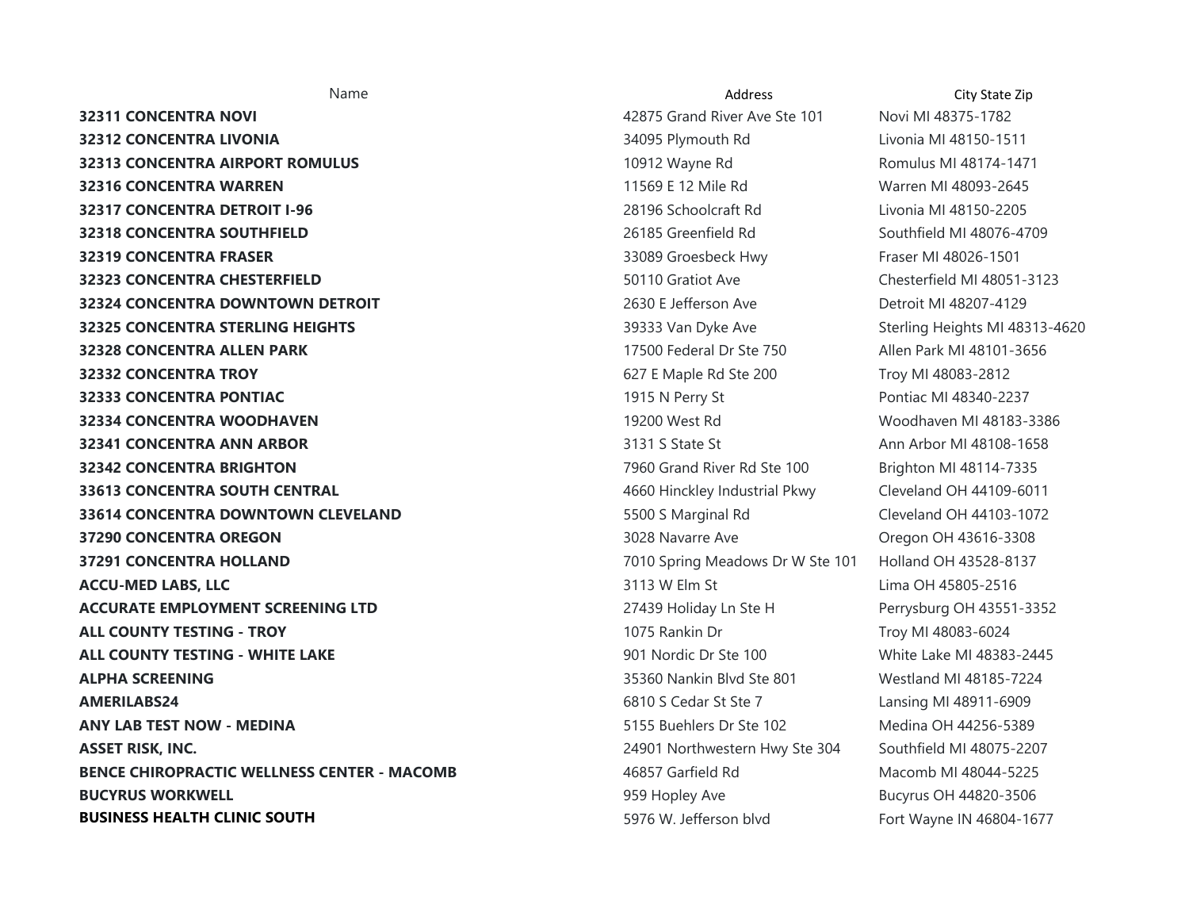**32311 CONCENTRA NOVI 1988 1999 12:311 CONCENTRA NOVI 19875-1782 1999 12:32 12:32 12:32 12:32 12:33 12:33 12:33 12:34 12:35 12:35 12:35 12:35 12:35 12:35 12:35 12:35 12:35 12:35 12:35 12:35 12:35 12:35 12:35 12:35 32312 CONCENTRA LIVONIA 12000 CONCENTRA LIVONIA 13400 CONCENTRA LIVONIA 148150-1511 32313 CONCENTRA AIRPORT ROMULUS 10912 Wayne Rd Romulus MI 48174-1471 Romulus MI 48174-1471 32316 CONCENTRA WARREN 11569 E 12 Mile Rd Warren MI 48093-2645 32317 CONCENTRA DETROIT I-96**  28196 Schoolcraft Rd Livonia MI 48150-2205 **32318 CONCENTRA SOUTHFIELD 26185 Greenfield Rd** Southfield MI 48076-4709 **32319 CONCENTRA FRASER 1231 CONCENTRA FRASER 13089** Croesbeck Hwy Fraser MI 48026-1501 **32323 CONCENTRA CHESTERFIELD 50110 Gratiot Ave Chesterfield MI 48051-3123 32324 CONCENTRA DOWNTOWN DETROIT 1988 CONCENTRA DOWNTOWN DETROIT** 1999 **2630 F** Jefferson Ave Detroit MI 48207-4129 **32325 CONCENTRA STERLING HEIGHTS 3933 Van Dyke Ave Sterling Heights MI 48313-4620 Sterling Heights MI 48313-4620 32328 CONCENTRA ALLEN PARK 18 CONCENTRA ALLEN PARK 17500 Federal Dr Ste 750** Allen Park MI 48101-3656 **32332 CONCENTRA TROY**  627 E Maple Rd Ste 200 Troy MI 48083-2812 **32333 CONCENTRA PONTIAC 1915 N Perry St** Pontiac MI 48340-2237 **32334 CONCENTRA WOODHAVEN**  19200 West Rd Woodhaven MI 48183-3386 **32341 CONCENTRA ANN ARBOR 3131 S State St Ann Arbor MI 48108-1658 32342 CONCENTRA BRIGHTON 1988 CONCENTRA BRIGHTON 1988 1998 1998 Consumer State 100 Brighton MI 48114-7335 33613 CONCENTRA SOUTH CENTRAL**  4660 Hinckley Industrial Pkwy Cleveland OH 44109-6011 **33614 CONCENTRA DOWNTOWN CLEVELAND 5500 S Marginal Rd** Cleveland OH 44103-1072 **37290 CONCENTRA OREGON 1988 CONCENTRA OREGON 1999 CONCENTRA OREGON 1999 CONCENTRA OREGON 37291 CONCENTRA HOLLAND 1999 CONCENTRA HOLLAND 1999 CONCERT AND READ CONCERT ASSESS** 1999 TO 10 Spring Meadows Dr W Ste 101 Holland OH 43528-8137 **ACCU-MED LABS, LLC** 2516 CONTROLLER 2014 12:00 2014 2015 2016 2017 312 W Elm St Lima OH 45805-2516 **ACCURATE EMPLOYMENT SCREENING LTD 1998 CONTACT ACCURATE EMPLOYMENT SCREENING LTD** 27439 Holiday Ln Ste H Perrysburg OH 43551-3352 **ALL COUNTY TESTING - TROY**  1075 Rankin Dr Troy MI 48083-6024 **ALL COUNTY TESTING - WHITE LAKE State and State Countries and State 100** White Lake MI 48383-2445 **ALPHA SCREENING**  35360 Nankin Blvd Ste 801 Westland MI 48185-7224 **AMERILABS24 CONSULABS24 CONSULABS24 6810 S Cedar St Ste 7** Lansing MI 48911-6909 **ANY LAB TEST NOW - MEDINA 5155 Buehlers Dr Ste 102** Medina OH 44256-5389 **ASSET RISK, INC. 24901 Northwestern Hwy Ste 304 Southfield MI 48075-2207 BENCE CHIROPRACTIC WELLNESS CENTER - MACOMB** 46857 Garfield Rd Macomb MI 48044-5225 **BUCYRUS WORKWELL BUCYRUS WORKWELL BUCYRUS WORKWELL BUCYRUS OH 44820-3506 BUSINESS HEALTH CLINIC SOUTH** 5976 W. Jefferson blvd Fort Wayne IN 46804-1677

Name **Address City State Zip City State Zip** Address **City State Zip**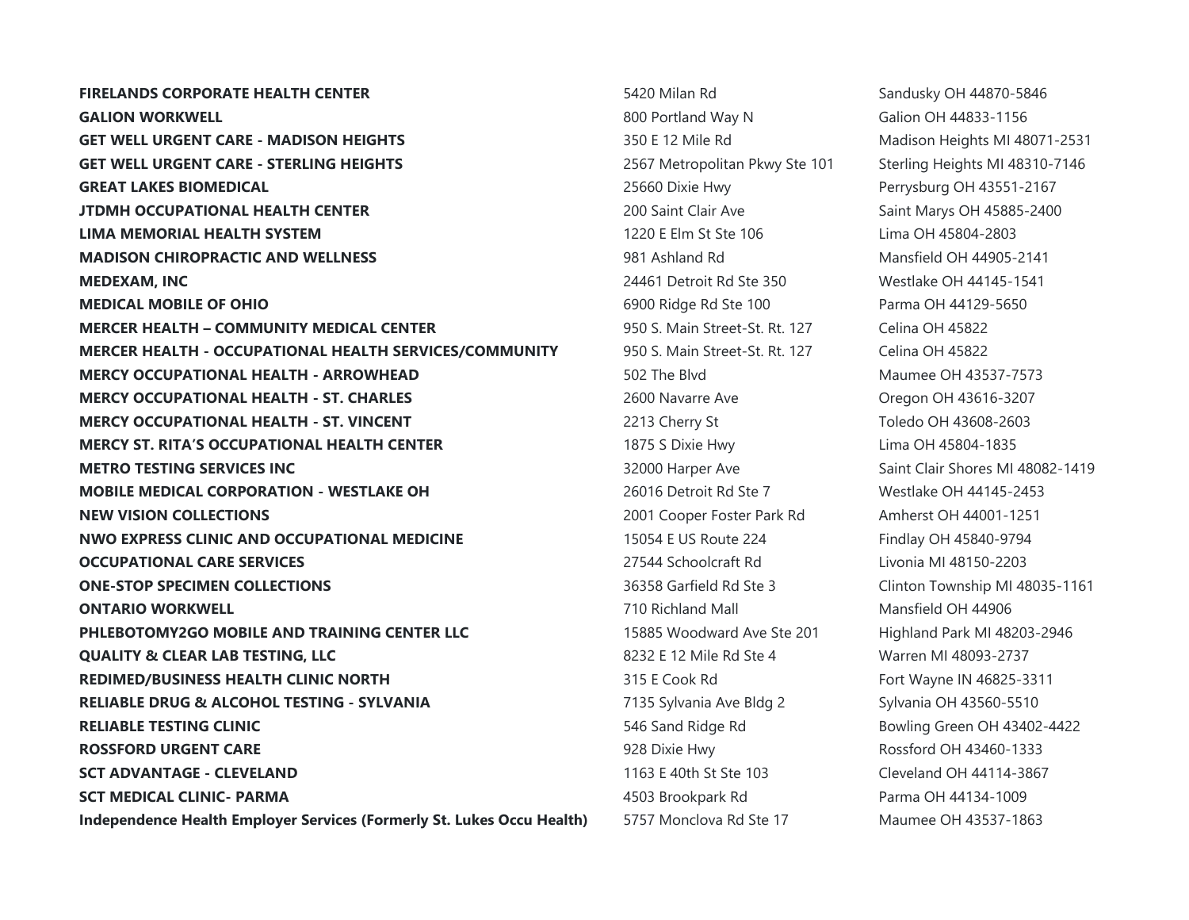**FIRELANDS CORPORATE HEALTH CENTER 5420 Milan Rd 5420 Milan Rd** Sandusky OH 44870-5846 **GALION WORKWELL GALION WORKWELL 800 Portland Way N** Galion OH 44833-1156 **GET WELL URGENT CARE - MADISON HEIGHTS 350 E 12 Mile Rd** Madison Heights MI 48071-2531 **GET WELL URGENT CARE - STERLING HEIGHTS 2567** Metropolitan Pkwy Ste 101 Sterling Heights MI 48310-7146 **GREAT LAKES BIOMEDICAL CONSERVERSION CONSERVERSION** 25660 Dixie Hwy Perrysburg OH 43551-2167 **JTDMH OCCUPATIONAL HEALTH CENTER 1988 1200 Saint Clair Ave Saint Marys OH 45885-2400 LIMA MEMORIAL HEALTH SYSTEM** 1220 E Elm St Ste 106 Lima OH 45804-2803 **MADISON CHIROPRACTIC AND WELLNESS 1981 Ashland Rd** Mansfield OH 44905-2141 **MEDEXAM. INC CONSULTER STATES AND RESOURCE AT A 24461 Detroit Rd Ste 350 Westlake OH 44145-1541 MEDICAL MOBILE OF OHIO 6900 Ridge Rd Ste 100** Parma OH 44129-5650 **MERCER HEALTH – COMMUNITY MEDICAL CENTER** 250 S. Main Street-St. Rt. 127 Celina OH 45822 **MERCER HEALTH - OCCUPATIONAL HEALTH SERVICES/COMMUNITY** 950 S. Main Street-St. Rt. 127 Celina OH 45822 **MERCY OCCUPATIONAL HEALTH - ARROWHEAD** 502 The Blvd Maumee OH 43537-7573 **MERCY OCCUPATIONAL HEALTH - ST. CHARLES** 2600 Navarre Ave 2600 Navarre Ave 2600 Navarre Ave 2009 Oregon OH 43616-3207 **MERCY OCCUPATIONAL HEALTH - ST. VINCENT** 2213 Cherry St Toledo OH 43608-2603 **MERCY ST. RITA'S OCCUPATIONAL HEALTH CENTER** 1875 S Dixie Hwy Lima OH 45804-1835 **METRO TESTING SERVICES INC SUBSEX 100 CONTROL 100 SAMPLE 32000** Harper Ave Saint Clair Shores MI 48082-1419 **MOBILE MEDICAL CORPORATION - WESTLAKE OH**  26016 Detroit Rd Ste 7 Westlake OH 44145-2453 **NEW VISION COLLECTIONS NEW VISION COLLECTIONS 2001 2001** Cooper Foster Park Rd Amherst OH 44001-1251 **NWO EXPRESS CLINIC AND OCCUPATIONAL MEDICINE** 15054 E US Route 224 Findlay OH 45840-9794 **OCCUPATIONAL CARE SERVICES**  27544 Schoolcraft Rd Livonia MI 48150-2203 **ONE-STOP SPECIMEN COLLECTIONS 36358 Garfield Rd Ste 3** Clinton Township MI 48035-1161 **ONTARIO WORKWELL CONTARIO WORKWELL CONTARIO WORKWELL CONTARIO WORKWELL PHLEBOTOMY2GO MOBILE AND TRAINING CENTER LLC** 15885 Woodward Ave Ste 201 Highland Park MI 48203-2946 **QUALITY & CLEAR LAB TESTING, LLC BUALITY & CLEAR LAB TESTING, LLC** 8232 E 12 Mile Rd Ste 4 Warren MI 48093-2737 **REDIMED/BUSINESS HEALTH CLINIC NORTH** 315 E Cook Rd Fort Wayne IN 46825-3311 **RELIABLE DRUG & ALCOHOL TESTING - SYLVANIA 1994 TESTING 1995 120 TESTIO 17135** Sylvania Ave Bldg 2 Sylvania OH 43560-5510 **RELIABLE TESTING CLINIC RELIABLE TESTING CLINIC 1999 546 Sand Ridge Rd** Bowling Green OH 43402-4422 **ROSSFORD URGENT CARE ROSSFORD URGENT CARE 1928 Dixie Hwy** 928 Dixie Hwy **Rossford OH 43460-1333 SCT ADVANTAGE - CLEVELAND SCT ADVANTAGE - CLEVELAND 1163 Cleveland OH 44114-3867 SCT MEDICAL CLINIC- PARMA 1998 CONTRACT AND ACCOUNT ACCOUNT ACCOUNT ACCOUNT ACCOUNT ACCOUNT ACCOUNT ACCOUNT ACCOUNT ACCOUNT ACCOUNT ACCOUNT ACCOUNT ACCOUNT ACCOUNT ACCOUNT ACCOUNT ACCOUNT ACCOUNT ACCOUNT ACCOUNT ACCOUN Independence Health Employer Services (Formerly St. Lukes Occu Health)** 5757 Monclova Rd Ste 17 Maumee OH 43537-1863